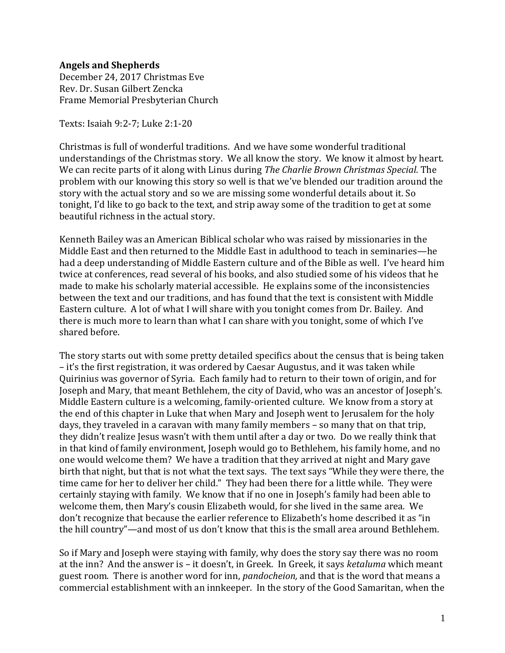## **Angels and Shepherds**

December 24, 2017 Christmas Eve Rev. Dr. Susan Gilbert Zencka Frame Memorial Presbyterian Church

Texts: Isaiah 9:2-7; Luke 2:1-20

Christmas is full of wonderful traditions. And we have some wonderful traditional understandings of the Christmas story. We all know the story. We know it almost by heart. We can recite parts of it along with Linus during *The Charlie Brown Christmas Special.* The problem with our knowing this story so well is that we've blended our tradition around the story with the actual story and so we are missing some wonderful details about it. So tonight, I'd like to go back to the text, and strip away some of the tradition to get at some beautiful richness in the actual story.

Kenneth Bailey was an American Biblical scholar who was raised by missionaries in the Middle East and then returned to the Middle East in adulthood to teach in seminaries—he had a deep understanding of Middle Eastern culture and of the Bible as well. I've heard him twice at conferences, read several of his books, and also studied some of his videos that he made to make his scholarly material accessible. He explains some of the inconsistencies between the text and our traditions, and has found that the text is consistent with Middle Eastern culture. A lot of what I will share with you tonight comes from Dr. Bailey. And there is much more to learn than what I can share with you tonight, some of which I've shared before.

The story starts out with some pretty detailed specifics about the census that is being taken – it's the first registration, it was ordered by Caesar Augustus, and it was taken while Quirinius was governor of Syria. Each family had to return to their town of origin, and for Joseph and Mary, that meant Bethlehem, the city of David, who was an ancestor of Joseph's. Middle Eastern culture is a welcoming, family-oriented culture. We know from a story at the end of this chapter in Luke that when Mary and Joseph went to Jerusalem for the holy days, they traveled in a caravan with many family members – so many that on that trip, they didn't realize Jesus wasn't with them until after a day or two. Do we really think that in that kind of family environment, Joseph would go to Bethlehem, his family home, and no one would welcome them? We have a tradition that they arrived at night and Mary gave birth that night, but that is not what the text says. The text says "While they were there, the time came for her to deliver her child." They had been there for a little while. They were certainly staying with family. We know that if no one in Joseph's family had been able to welcome them, then Mary's cousin Elizabeth would, for she lived in the same area. We don't recognize that because the earlier reference to Elizabeth's home described it as "in the hill country"—and most of us don't know that this is the small area around Bethlehem.

So if Mary and Joseph were staying with family, why does the story say there was no room at the inn? And the answer is – it doesn't, in Greek. In Greek, it says *ketaluma* which meant guest room. There is another word for inn, *pandocheion,* and that is the word that means a commercial establishment with an innkeeper. In the story of the Good Samaritan, when the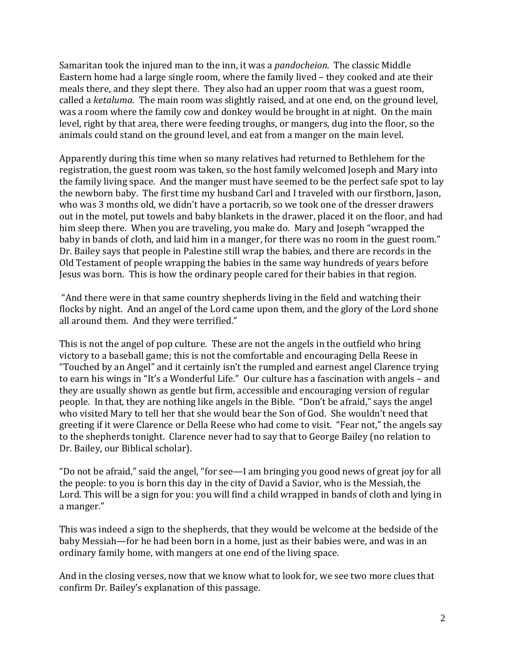Samaritan took the injured man to the inn, it was a *pandocheion.* The classic Middle Eastern home had a large single room, where the family lived – they cooked and ate their meals there, and they slept there. They also had an upper room that was a guest room, called a *ketaluma.* The main room was slightly raised, and at one end, on the ground level, was a room where the family cow and donkey would be brought in at night. On the main level, right by that area, there were feeding troughs, or mangers, dug into the floor, so the animals could stand on the ground level, and eat from a manger on the main level.

Apparently during this time when so many relatives had returned to Bethlehem for the registration, the guest room was taken, so the host family welcomed Joseph and Mary into the family living space. And the manger must have seemed to be the perfect safe spot to lay the newborn baby. The first time my husband Carl and I traveled with our firstborn, Jason, who was 3 months old, we didn't have a portacrib, so we took one of the dresser drawers out in the motel, put towels and baby blankets in the drawer, placed it on the floor, and had him sleep there. When you are traveling, you make do. Mary and Joseph "wrapped the baby in bands of cloth, and laid him in a manger, for there was no room in the guest room." Dr. Bailey says that people in Palestine still wrap the babies, and there are records in the Old Testament of people wrapping the babies in the same way hundreds of years before Jesus was born. This is how the ordinary people cared for their babies in that region.

"And there were in that same country shepherds living in the field and watching their flocks by night. And an angel of the Lord came upon them, and the glory of the Lord shone all around them. And they were terrified."

This is not the angel of pop culture. These are not the angels in the outfield who bring victory to a baseball game; this is not the comfortable and encouraging Della Reese in "Touched by an Angel" and it certainly isn't the rumpled and earnest angel Clarence trying to earn his wings in "It's a Wonderful Life." Our culture has a fascination with angels – and they are usually shown as gentle but firm, accessible and encouraging version of regular people. In that, they are nothing like angels in the Bible. "Don't be afraid," says the angel who visited Mary to tell her that she would bear the Son of God. She wouldn't need that greeting if it were Clarence or Della Reese who had come to visit. "Fear not," the angels say to the shepherds tonight. Clarence never had to say that to George Bailey (no relation to Dr. Bailey, our Biblical scholar).

"Do not be afraid," said the angel, "for see—I am bringing you good news of great joy for all the people: to you is born this day in the city of David a Savior, who is the Messiah, the Lord. This will be a sign for you: you will find a child wrapped in bands of cloth and lying in a manger."

This was indeed a sign to the shepherds, that they would be welcome at the bedside of the baby Messiah—for he had been born in a home, just as their babies were, and was in an ordinary family home, with mangers at one end of the living space.

And in the closing verses, now that we know what to look for, we see two more clues that confirm Dr. Bailey's explanation of this passage.